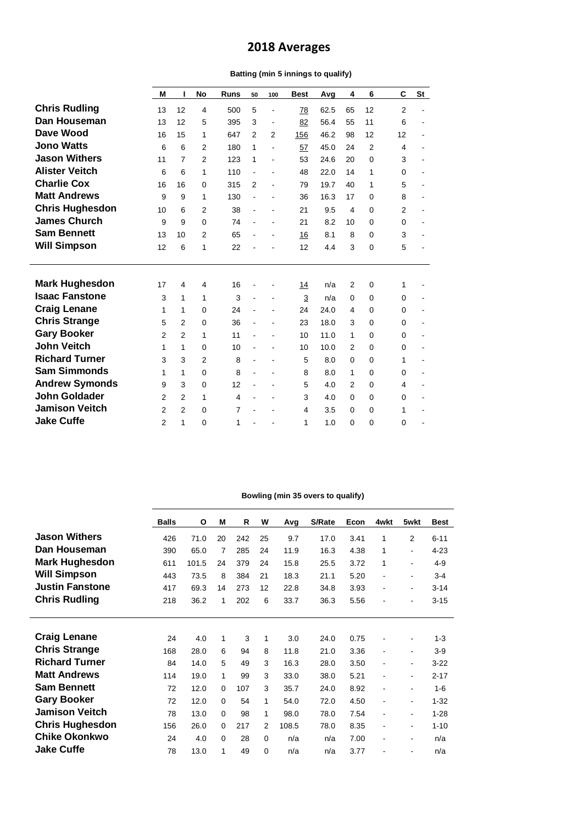# **2018 Averages**

## **Batting (min 5 innings to qualify)**

|                        | M              | ı              | <b>No</b>      | <b>Runs</b>    | 50             | 100                      | <b>Best</b>              | Avg  | 4              | 6              | C              | <b>St</b> |
|------------------------|----------------|----------------|----------------|----------------|----------------|--------------------------|--------------------------|------|----------------|----------------|----------------|-----------|
| <b>Chris Rudling</b>   | 13             | 12             | 4              | 500            | 5              | $\overline{\phantom{a}}$ | 78                       | 62.5 | 65             | 12             | 2              |           |
| Dan Houseman           | 13             | 12             | 5              | 395            | 3              | $\blacksquare$           | 82                       | 56.4 | 55             | 11             | 6              |           |
| Dave Wood              | 16             | 15             | 1              | 647            | $\overline{2}$ | $\overline{2}$           | 156                      | 46.2 | 98             | 12             | 12             |           |
| <b>Jono Watts</b>      | 6              | 6              | $\overline{2}$ | 180            | 1              | $\overline{\phantom{a}}$ | 57                       | 45.0 | 24             | $\overline{2}$ | $\overline{4}$ |           |
| <b>Jason Withers</b>   | 11             | $\overline{7}$ | $\overline{2}$ | 123            | 1              | $\blacksquare$           | 53                       | 24.6 | 20             | $\Omega$       | 3              |           |
| <b>Alister Veitch</b>  | 6              | 6              | 1              | 110            |                |                          | 48                       | 22.0 | 14             | 1              | $\Omega$       |           |
| <b>Charlie Cox</b>     | 16             | 16             | $\mathbf 0$    | 315            | $\overline{2}$ |                          | 79                       | 19.7 | 40             | 1              | 5              |           |
| <b>Matt Andrews</b>    | 9              | 9              | 1              | 130            |                |                          | 36                       | 16.3 | 17             | $\Omega$       | 8              |           |
| <b>Chris Hughesdon</b> | 10             | 6              | $\overline{2}$ | 38             |                |                          | 21                       | 9.5  | 4              | $\Omega$       | $\overline{2}$ |           |
| <b>James Church</b>    | 9              | 9              | $\mathbf 0$    | 74             |                |                          | 21                       | 8.2  | 10             | $\Omega$       | $\mathbf 0$    |           |
| <b>Sam Bennett</b>     | 13             | 10             | $\overline{2}$ | 65             |                |                          | 16                       | 8.1  | 8              | $\Omega$       | 3              |           |
| <b>Will Simpson</b>    | 12             | 6              | 1              | 22             |                |                          | 12                       | 4.4  | 3              | $\mathbf 0$    | 5              |           |
|                        |                |                |                |                |                |                          |                          |      |                |                |                |           |
|                        |                |                |                |                |                |                          |                          |      |                |                |                |           |
| <b>Mark Hughesdon</b>  | 17             | 4              | 4              | 16             |                |                          | 14                       | n/a  | $\overline{2}$ | $\mathbf 0$    | 1              |           |
| <b>Isaac Fanstone</b>  | 3              | 1              | 1              | 3              |                |                          | 3                        | n/a  | $\mathbf 0$    | $\mathbf 0$    | $\mathbf 0$    |           |
| <b>Craig Lenane</b>    | 1              | 1              | $\mathbf 0$    | 24             |                |                          | 24                       | 24.0 | 4              | $\Omega$       | 0              |           |
| <b>Chris Strange</b>   | 5              | $\overline{2}$ | $\mathbf 0$    | 36             |                |                          | 23                       | 18.0 | 3              | $\mathbf 0$    | $\mathbf 0$    |           |
| <b>Gary Booker</b>     | $\overline{2}$ | 2              | 1              | 11             |                |                          | 10                       | 11.0 | 1              | $\Omega$       | $\mathbf 0$    |           |
| <b>John Veitch</b>     | 1              | 1              | $\Omega$       | 10             |                |                          | 10                       | 10.0 | 2              | $\Omega$       | $\Omega$       |           |
| <b>Richard Turner</b>  | 3              | 3              | $\overline{2}$ | 8              |                |                          | 5                        | 8.0  | $\mathbf 0$    | $\Omega$       | 1              |           |
| <b>Sam Simmonds</b>    | 1              | 1              | $\mathbf 0$    | 8              |                |                          | 8                        | 8.0  | 1              | $\Omega$       | 0              |           |
| <b>Andrew Symonds</b>  | 9              | 3              | $\Omega$       | 12             |                |                          | 5                        | 4.0  | $\overline{2}$ | $\Omega$       | 4              |           |
| <b>John Goldader</b>   | 2              | $\overline{2}$ | 1              | $\overline{4}$ |                |                          | 3                        | 4.0  | 0              | $\Omega$       | 0              |           |
| <b>Jamison Veitch</b>  | $\overline{2}$ | 2              | 0              | 7              |                |                          | $\overline{\mathcal{L}}$ | 3.5  | 0              | 0              | 1              |           |
| <b>Jake Cuffe</b>      | $\overline{2}$ | 1              | $\mathbf 0$    | 1              |                |                          | 1                        | 1.0  | $\mathbf{0}$   | $\Omega$       | $\mathbf 0$    |           |

#### **Bowling (min 35 overs to qualify)**

|                        | <b>Balls</b> | О     | M        | R   | W        | Avg   | S/Rate | Econ | 4wkt                     | 5wkt           | <b>Best</b> |
|------------------------|--------------|-------|----------|-----|----------|-------|--------|------|--------------------------|----------------|-------------|
| <b>Jason Withers</b>   | 426          | 71.0  | 20       | 242 | 25       | 9.7   | 17.0   | 3.41 | 1                        | $\overline{2}$ | $6 - 11$    |
| Dan Houseman           | 390          | 65.0  | 7        | 285 | 24       | 11.9  | 16.3   | 4.38 | $\mathbf{1}$             | ٠              | $4 - 23$    |
| <b>Mark Hughesdon</b>  | 611          | 101.5 | 24       | 379 | 24       | 15.8  | 25.5   | 3.72 | 1                        | ٠              | $4 - 9$     |
| <b>Will Simpson</b>    | 443          | 73.5  | 8        | 384 | 21       | 18.3  | 21.1   | 5.20 | $\blacksquare$           | ۰              | $3 - 4$     |
| <b>Justin Fanstone</b> | 417          | 69.3  | 14       | 273 | 12       | 22.8  | 34.8   | 3.93 | ۰                        | ۰              | $3 - 14$    |
| <b>Chris Rudling</b>   | 218          | 36.2  | 1        | 202 | 6        | 33.7  | 36.3   | 5.56 |                          |                | $3 - 15$    |
|                        |              |       |          |     |          |       |        |      |                          |                |             |
| <b>Craig Lenane</b>    | 24           | 4.0   | 1        | 3   | 1        | 3.0   | 24.0   | 0.75 |                          | $\blacksquare$ | $1 - 3$     |
| <b>Chris Strange</b>   | 168          | 28.0  | 6        | 94  | 8        | 11.8  | 21.0   | 3.36 | ۰                        | ۰              | $3-9$       |
| <b>Richard Turner</b>  | 84           | 14.0  | 5        | 49  | 3        | 16.3  | 28.0   | 3.50 | ۰                        | ٠              | $3-22$      |
| <b>Matt Andrews</b>    | 114          | 19.0  | 1        | 99  | 3        | 33.0  | 38.0   | 5.21 | $\overline{a}$           | $\blacksquare$ | $2 - 17$    |
| <b>Sam Bennett</b>     | 72           | 12.0  | 0        | 107 | 3        | 35.7  | 24.0   | 8.92 | ٠                        | $\blacksquare$ | $1 - 6$     |
| <b>Gary Booker</b>     | 72           | 12.0  | $\Omega$ | 54  | 1        | 54.0  | 72.0   | 4.50 | ۰                        | ٠              | $1 - 32$    |
| <b>Jamison Veitch</b>  | 78           | 13.0  | 0        | 98  | 1        | 98.0  | 78.0   | 7.54 |                          | $\blacksquare$ | $1 - 28$    |
| <b>Chris Hughesdon</b> | 156          | 26.0  | $\Omega$ | 217 | 2        | 108.5 | 78.0   | 8.35 | ۰                        | ٠              | $1 - 10$    |
| <b>Chike Okonkwo</b>   | 24           | 4.0   | $\Omega$ | 28  | $\Omega$ | n/a   | n/a    | 7.00 | $\overline{\phantom{a}}$ | ۰              | n/a         |
| <b>Jake Cuffe</b>      | 78           | 13.0  | 1        | 49  | 0        | n/a   | n/a    | 3.77 |                          |                | n/a         |